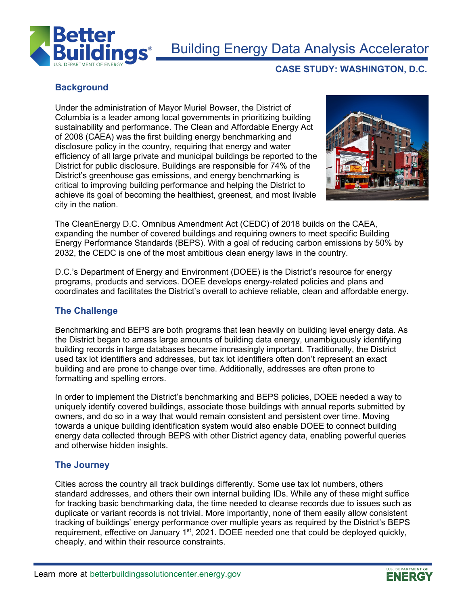

# Building Energy Data Analysis Accelerator

# **Background**

Under the administration of Mayor Muriel Bowser, the District of Columbia is a leader among local governments in prioritizing building sustainability and performance. The Clean and Affordable Energy Act of 2008 (CAEA) was the first building energy benchmarking and disclosure policy in the country, requiring that energy and water efficiency of all large private and municipal buildings be reported to the District for public disclosure. Buildings are responsible for 74% of the District's greenhouse gas emissions, and energy benchmarking is critical to improving building performance and helping the District to achieve its goal of becoming the healthiest, greenest, and most livable city in the nation.



**CASE STUDY: WASHINGTON, D.C.**

The CleanEnergy D.C. Omnibus Amendment Act (CEDC) of 2018 builds on the CAEA, expanding the number of covered buildings and requiring owners to meet specific Building Energy Performance Standards (BEPS). With a goal of reducing carbon emissions by 50% by 2032, the CEDC is one of the most ambitious clean energy laws in the country.

D.C.'s Department of Energy and Environment (DOEE) is the District's resource for energy programs, products and services. DOEE develops energy-related policies and plans and coordinates and facilitates the District's overall to achieve reliable, clean and affordable energy.

#### **The Challenge**

Benchmarking and BEPS are both programs that lean heavily on building level energy data. As the District began to amass large amounts of building data energy, unambiguously identifying building records in large databases became increasingly important. Traditionally, the District used tax lot identifiers and addresses, but tax lot identifiers often don't represent an exact building and are prone to change over time. Additionally, addresses are often prone to formatting and spelling errors.

In order to implement the District's benchmarking and BEPS policies, DOEE needed a way to uniquely identify covered buildings, associate those buildings with annual reports submitted by owners, and do so in a way that would remain consistent and persistent over time. Moving towards a unique building identification system would also enable DOEE to connect building energy data collected through BEPS with other District agency data, enabling powerful queries and otherwise hidden insights.

#### **The Journey**

Cities across the country all track buildings differently. Some use tax lot numbers, others standard addresses, and others their own internal building IDs. While any of these might suffice for tracking basic benchmarking data, the time needed to cleanse records due to issues such as duplicate or variant records is not trivial. More importantly, none of them easily allow consistent tracking of buildings' energy performance over multiple years as required by the District's BEPS requirement, effective on January 1<sup>st</sup>, 2021. DOEE needed one that could be deployed quickly, cheaply, and within their resource constraints.

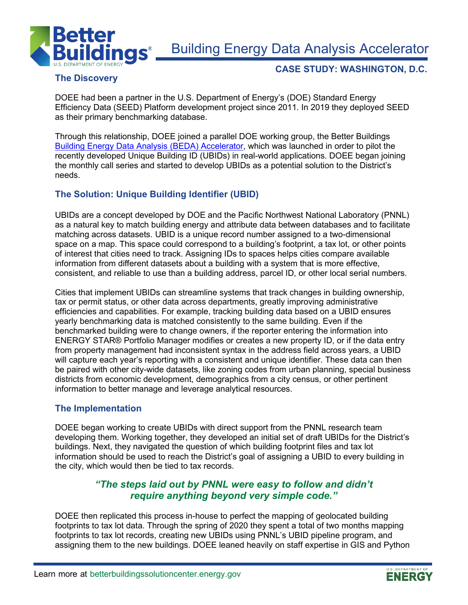

Building Energy Data Analysis Accelerator

# The Discovery **CASE STUDY: WASHINGTON, D.C.**<br>The Discovery

DOEE had been a partner in the U.S. Department of Energy's (DOE) Standard Energy Efficiency Data (SEED) Platform development project since 2011. In 2019 they deployed SEED as their primary benchmarking database.

Through this relationship, DOEE joined a parallel DOE working group, the Better Buildings [Building Energy Data Analysis \(BEDA\) Accelerator,](https://betterbuildingssolutioncenter.energy.gov/accelerators/building-energy-data-analysis) which was launched in order to pilot the recently developed Unique Building ID (UBIDs) in real-world applications. DOEE began joining the monthly call series and started to develop UBIDs as a potential solution to the District's needs.

### **The Solution: Unique Building Identifier (UBID)**

UBIDs are a concept developed by DOE and the Pacific Northwest National Laboratory (PNNL) as a natural key to match building energy and attribute data between databases and to facilitate matching across datasets. UBID is a unique record number assigned to a two-dimensional space on a map. This space could correspond to a building's footprint, a tax lot, or other points of interest that cities need to track. Assigning IDs to spaces helps cities compare available information from different datasets about a building with a system that is more effective, consistent, and reliable to use than a building address, parcel ID, or other local serial numbers.

Cities that implement UBIDs can streamline systems that track changes in building ownership, tax or permit status, or other data across departments, greatly improving administrative efficiencies and capabilities. For example, tracking building data based on a UBID ensures yearly benchmarking data is matched consistently to the same building. Even if the benchmarked building were to change owners, if the reporter entering the information into ENERGY STAR® Portfolio Manager modifies or creates a new property ID, or if the data entry from property management had inconsistent syntax in the address field across years, a UBID will capture each year's reporting with a consistent and unique identifier. These data can then be paired with other city-wide datasets, like zoning codes from urban planning, special business districts from economic development, demographics from a city census, or other pertinent information to better manage and leverage analytical resources.

#### **The Implementation**

DOEE began working to create UBIDs with direct support from the PNNL research team developing them. Working together, they developed an initial set of draft UBIDs for the District's buildings. Next, they navigated the question of which building footprint files and tax lot information should be used to reach the District's goal of assigning a UBID to every building in the city, which would then be tied to tax records.

## *"The steps laid out by PNNL were easy to follow and didn't require anything beyond very simple code."*

DOEE then replicated this process in-house to perfect the mapping of geolocated building footprints to tax lot data. Through the spring of 2020 they spent a total of two months mapping footprints to tax lot records, creating new UBIDs using PNNL's UBID pipeline program, and assigning them to the new buildings. DOEE leaned heavily on staff expertise in GIS and Python